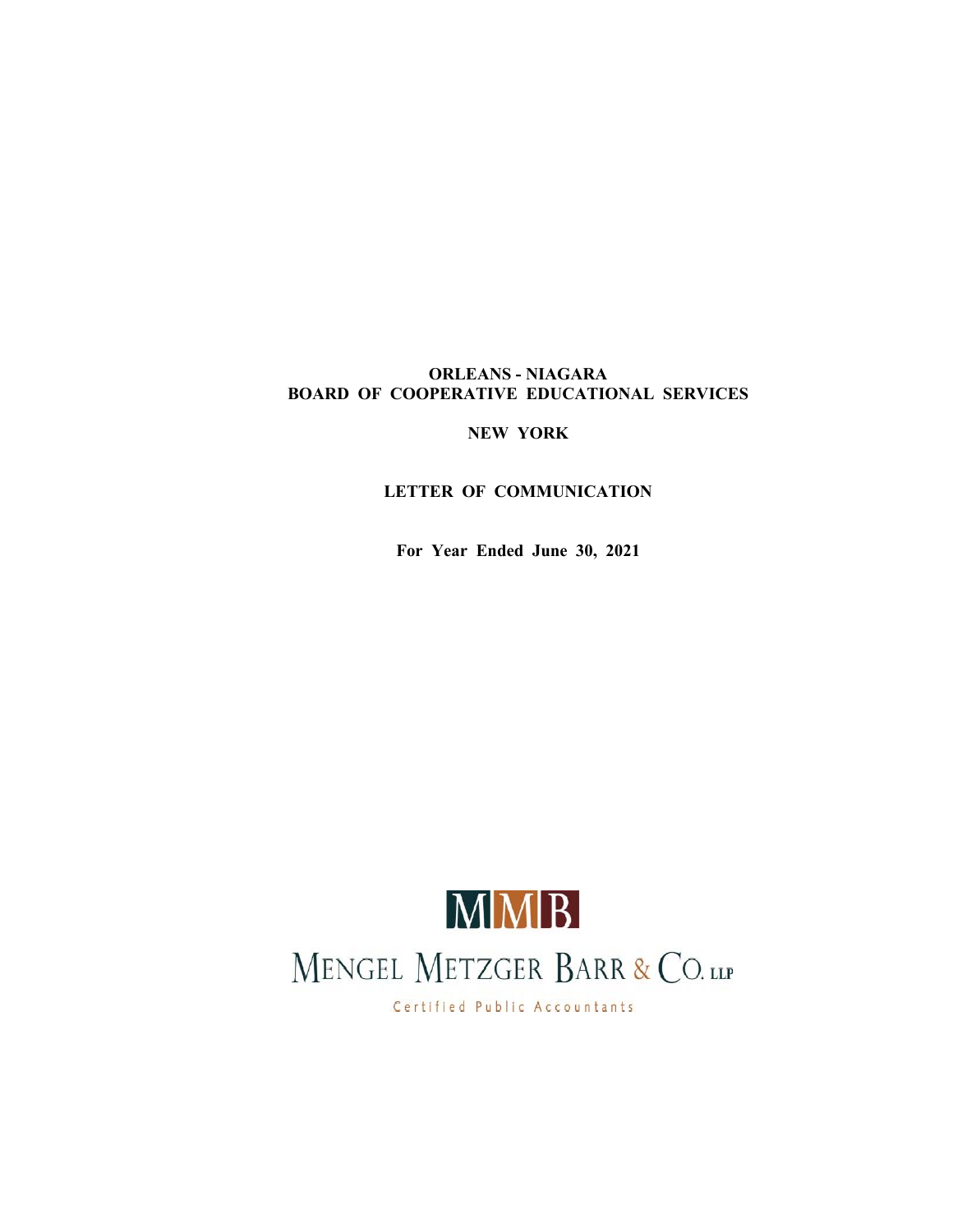## **ORLEANS - NIAGARA BOARD OF COOPERATIVE EDUCATIONAL SERVICES**

**NEW YORK**

# **LETTER OF COMMUNICATION**

**For Year Ended June 30, 2021**



Certified Public Accountants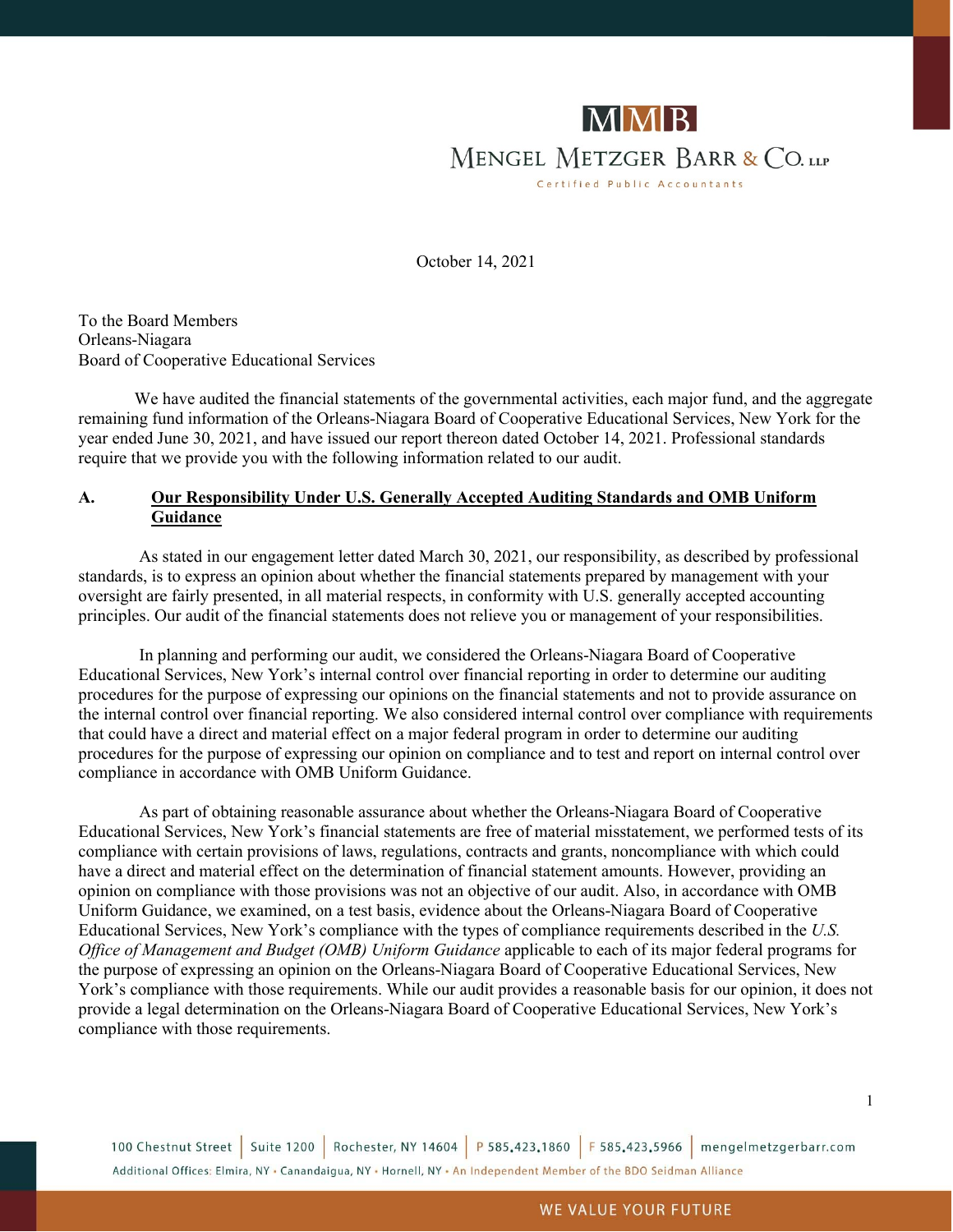

October 14, 2021

To the Board Members Orleans-Niagara Board of Cooperative Educational Services

We have audited the financial statements of the governmental activities, each major fund, and the aggregate remaining fund information of the Orleans-Niagara Board of Cooperative Educational Services, New York for the year ended June 30, 2021, and have issued our report thereon dated October 14, 2021. Professional standards require that we provide you with the following information related to our audit.

### **A. Our Responsibility Under U.S. Generally Accepted Auditing Standards and OMB Uniform Guidance**

As stated in our engagement letter dated March 30, 2021, our responsibility, as described by professional standards, is to express an opinion about whether the financial statements prepared by management with your oversight are fairly presented, in all material respects, in conformity with U.S. generally accepted accounting principles. Our audit of the financial statements does not relieve you or management of your responsibilities.

In planning and performing our audit, we considered the Orleans-Niagara Board of Cooperative Educational Services, New York's internal control over financial reporting in order to determine our auditing procedures for the purpose of expressing our opinions on the financial statements and not to provide assurance on the internal control over financial reporting. We also considered internal control over compliance with requirements that could have a direct and material effect on a major federal program in order to determine our auditing procedures for the purpose of expressing our opinion on compliance and to test and report on internal control over compliance in accordance with OMB Uniform Guidance.

As part of obtaining reasonable assurance about whether the Orleans-Niagara Board of Cooperative Educational Services, New York's financial statements are free of material misstatement, we performed tests of its compliance with certain provisions of laws, regulations, contracts and grants, noncompliance with which could have a direct and material effect on the determination of financial statement amounts. However, providing an opinion on compliance with those provisions was not an objective of our audit. Also, in accordance with OMB Uniform Guidance, we examined, on a test basis, evidence about the Orleans-Niagara Board of Cooperative Educational Services, New York's compliance with the types of compliance requirements described in the *U.S. Office of Management and Budget (OMB) Uniform Guidance* applicable to each of its major federal programs for the purpose of expressing an opinion on the Orleans-Niagara Board of Cooperative Educational Services, New York's compliance with those requirements. While our audit provides a reasonable basis for our opinion, it does not provide a legal determination on the Orleans-Niagara Board of Cooperative Educational Services, New York's compliance with those requirements.

100 Chestnut Street | Suite 1200 | Rochester, NY 14604 | P 585.423.1860 | F 585.423.5966 | mengelmetzgerbarr.com Additional Offices: Elmira, NY . Canandaigua, NY . Hornell, NY . An Independent Member of the BDO Seidman Alliance

1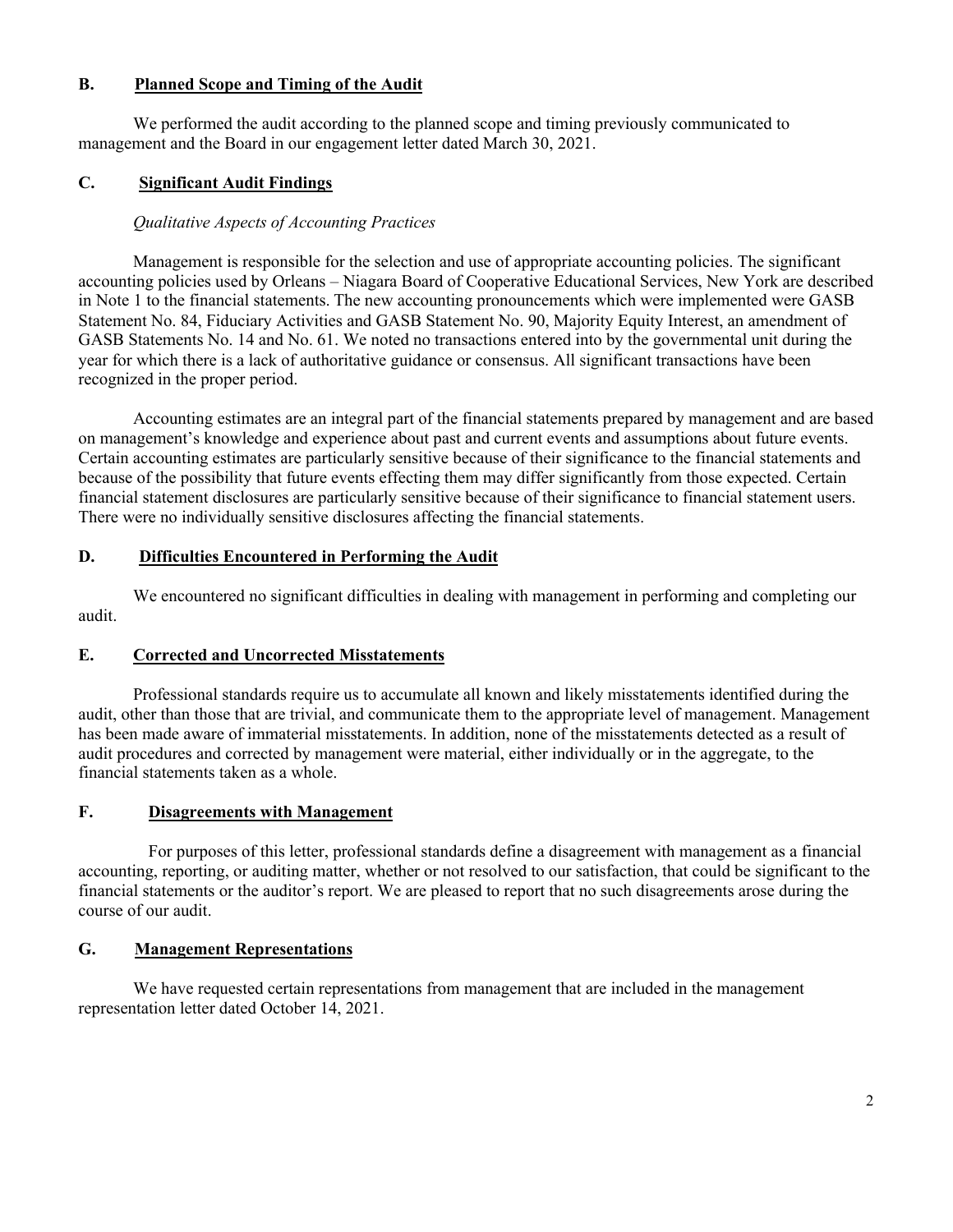#### **B. Planned Scope and Timing of the Audit**

We performed the audit according to the planned scope and timing previously communicated to management and the Board in our engagement letter dated March 30, 2021.

### **C. Significant Audit Findings**

### *Qualitative Aspects of Accounting Practices*

Management is responsible for the selection and use of appropriate accounting policies. The significant accounting policies used by Orleans – Niagara Board of Cooperative Educational Services, New York are described in Note 1 to the financial statements. The new accounting pronouncements which were implemented were GASB Statement No. 84, Fiduciary Activities and GASB Statement No. 90, Majority Equity Interest, an amendment of GASB Statements No. 14 and No. 61. We noted no transactions entered into by the governmental unit during the year for which there is a lack of authoritative guidance or consensus. All significant transactions have been recognized in the proper period.

Accounting estimates are an integral part of the financial statements prepared by management and are based on management's knowledge and experience about past and current events and assumptions about future events. Certain accounting estimates are particularly sensitive because of their significance to the financial statements and because of the possibility that future events effecting them may differ significantly from those expected. Certain financial statement disclosures are particularly sensitive because of their significance to financial statement users. There were no individually sensitive disclosures affecting the financial statements.

### **D. Difficulties Encountered in Performing the Audit**

We encountered no significant difficulties in dealing with management in performing and completing our audit.

#### **E. Corrected and Uncorrected Misstatements**

Professional standards require us to accumulate all known and likely misstatements identified during the audit, other than those that are trivial, and communicate them to the appropriate level of management. Management has been made aware of immaterial misstatements. In addition, none of the misstatements detected as a result of audit procedures and corrected by management were material, either individually or in the aggregate, to the financial statements taken as a whole.

#### **F. Disagreements with Management**

For purposes of this letter, professional standards define a disagreement with management as a financial accounting, reporting, or auditing matter, whether or not resolved to our satisfaction, that could be significant to the financial statements or the auditor's report. We are pleased to report that no such disagreements arose during the course of our audit.

### **G. Management Representations**

We have requested certain representations from management that are included in the management representation letter dated October 14, 2021.